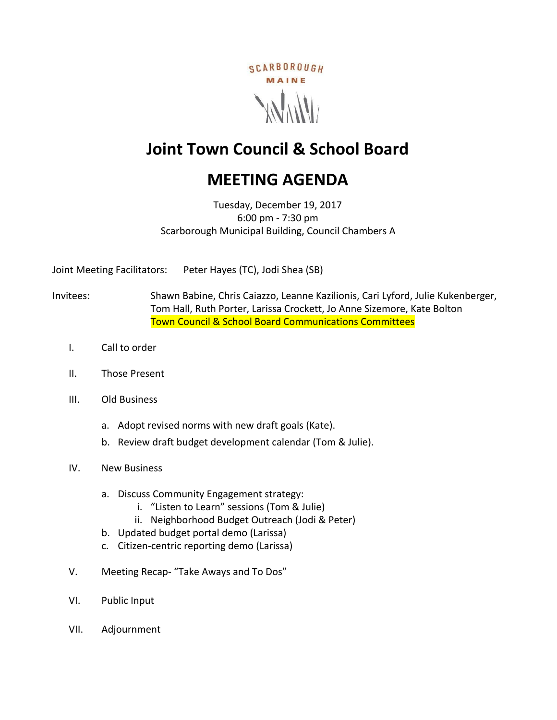

# **Joint Town Council & School Board**

# **MEETING AGENDA**

Tuesday, December 19, 2017 6:00 pm - 7:30 pm Scarborough Municipal Building, Council Chambers A

Joint Meeting Facilitators: Peter Hayes (TC), Jodi Shea (SB)

Invitees: Shawn Babine, Chris Caiazzo, Leanne Kazilionis, Cari Lyford, Julie Kukenberger, Tom Hall, Ruth Porter, Larissa Crockett, Jo Anne Sizemore, Kate Bolton Town Council & School Board Communications Committees

- I. Call to order
- II. Those Present
- III. Old Business
	- a. Adopt revised norms with new draft goals (Kate).
	- b. Review draft budget development calendar (Tom & Julie).
- IV. New Business
	- a. Discuss Community Engagement strategy:
		- i. "Listen to Learn" sessions (Tom & Julie)
		- ii. Neighborhood Budget Outreach (Jodi & Peter)
	- b. Updated budget portal demo (Larissa)
	- c. Citizen-centric reporting demo (Larissa)
- V. Meeting Recap- "Take Aways and To Dos"
- VI. Public Input
- VII. Adjournment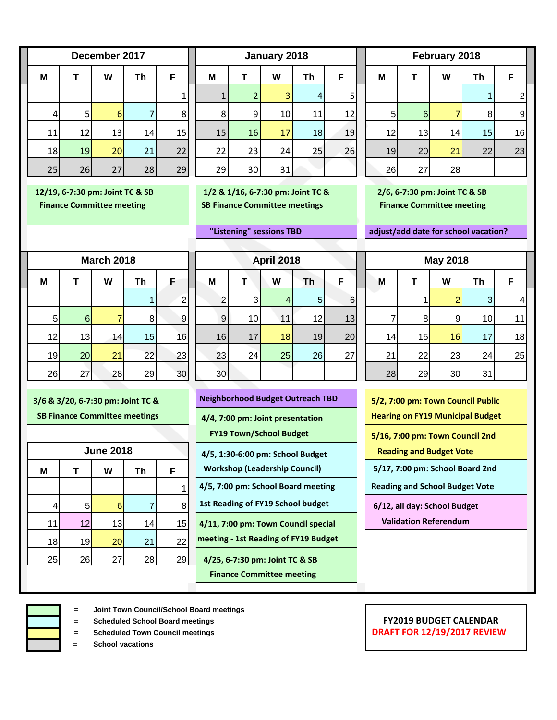|    | December 2017 |    |    |    |  |  |  |  |
|----|---------------|----|----|----|--|--|--|--|
| M  | F             |    |    |    |  |  |  |  |
|    |               |    |    | 1  |  |  |  |  |
| 4  | 5             | 6  | 7  | 8  |  |  |  |  |
| 11 | 12            | 13 | 14 | 15 |  |  |  |  |
| 18 | 19            | 20 | 21 | 22 |  |  |  |  |
| 25 | 26            | 27 | 28 | 29 |  |  |  |  |

**M T W Th F M T W Th F M T W Th F** 1 1 2 3 4 5 1 2 4 5 6 7 8 8 9 10 11 12 5 6 7 8 9 11| 12| 13| 14| 15|| 15<mark>| 16| 17|</mark> 18| 19|| 12| 13| 14| 15| 16 18<mark>| 19| 20</mark>| 21| 22|| 22| 23| 24| 25| 26|| 19| 20<mark>| 21|</mark> 22| 23 25 26 27 28 29 29 30 31 26 27 28 **December 2017 January 2018 February 2018**

 **12/19, 6-7:30 pm: Joint TC & SB 1/2 & 1/16, 6-7:30 pm: Joint TC & 2/6, 6-7:30 pm: Joint TC & SB Finance Committee meeting SB Finance Committee meetings Finance Committee meeting** 

 **"Listening" sessions TBD adjust/add date for school vacation?**

| <b>March 2018</b> |    |    |    |                |  |  |  |  |  |
|-------------------|----|----|----|----------------|--|--|--|--|--|
| M                 | т  | W  | Th | F              |  |  |  |  |  |
|                   |    |    |    | 2              |  |  |  |  |  |
| 5                 | 6  | 7  | 8  | ć              |  |  |  |  |  |
| 12                | 13 | 14 | 15 | 16             |  |  |  |  |  |
| 19                | 20 | 21 | 22 | 23             |  |  |  |  |  |
| 26                | 27 | 28 | 29 | 3 <sub>C</sub> |  |  |  |  |  |

| <b>March 2018</b> |                |    |                | <b>April 2018</b> |    |                |    | <b>May 2018</b> |    |                 |    |                |                 |    |
|-------------------|----------------|----|----------------|-------------------|----|----------------|----|-----------------|----|-----------------|----|----------------|-----------------|----|
| M                 |                | W  | Th             | F                 | M  |                | W  | Th              | F  | M               |    | W              | Th              | F  |
|                   |                |    |                | $\mathbf{2}$      | ◠  | 3 <sub>l</sub> |    | 5 <sub>l</sub>  | 6  |                 |    | 2              | 3 <sub>l</sub>  | 4  |
| 5 <sup>1</sup>    | 6 <sup>1</sup> |    | 8 <sup>1</sup> | $\vert 9 \vert$   | 9  | 10             | 11 | 12              | 13 |                 | 8  | $\overline{9}$ | 10 <sub>l</sub> | 11 |
| 12                | 13             | 14 | 15             | 16                | 16 | 17             | 18 | 19              | 20 | 14 <sub>1</sub> | 15 | 16             | 17 <sub>l</sub> | 18 |
| 19                | 20             | 21 | 22             | 23                | 23 | 24             | 25 | 26              | 27 | 21              | 22 | 23             | 24              | 25 |
| 26                | 27             | 28 | 29             | 30                | 30 |                |    |                 |    | 28              | 29 | 30             | 31              |    |

|    | <b>June 2018</b> |    |    |    |  |  |  |  |
|----|------------------|----|----|----|--|--|--|--|
| M  | т                | W  | Th | F  |  |  |  |  |
|    |                  |    |    |    |  |  |  |  |
| 4  | 5                | 6  | 7  | 8  |  |  |  |  |
| 11 | 12               | 13 | 14 | 15 |  |  |  |  |
| 18 | 19               | 20 | 21 | 22 |  |  |  |  |
| 25 | 26               | 27 | 28 | 29 |  |  |  |  |
|    |                  |    |    |    |  |  |  |  |

| 3/6 & 3/20, 6-7:30 pm: Joint TC & | <b>Neighborhood Budget Outreach TBD</b> | 5/2, 7:00 pm: Town Council Public |
|-----------------------------------|-----------------------------------------|-----------------------------------|
|-----------------------------------|-----------------------------------------|-----------------------------------|

 **4/5, 1:30-6:00 pm: School Budget Reading and Budget Vote**

 **Workshop (Leadership Council) 5/17, 7:00 pm: School Board 2nd**

4 5 6 7 8 **1st Reading of FY19 School budget 6/12, all day: School Budget**

11 12 13 14 15 **4/11, 7:00 pm: Town Council special Validation Referendum** 18 19 20 21 22 **meeting - 1st Reading of FY19 Budget**

25 26 27 28 29 **4/25, 6-7:30 pm: Joint TC & SB**

 **Finance Committee meeting**

|    | 8  | 9               | 10 |    |
|----|----|-----------------|----|----|
| 14 | 15 | 16              | 17 | 18 |
| 21 | 22 | 23              | 24 | 25 |
| 28 | 29 | 30 <sup>°</sup> | 31 |    |
|    |    |                 |    |    |

 **SB Finance Committee meetings 4/4, 7:00 pm: Joint presentation** Hearing on FY19 Municipal Budget

**FY19 Town/School Budget 61 Connect 20 Connect 2nd Council 2nd System Council 2nd** 

1 **4/5, 7:00 pm: School Board meeting Reading and School Budget Vote**

- **= Joint Town Council/School Board meetings**
- 
- 
- **= School vacations**

#### **= Scheduled School Board meetings FY2019 BUDGET CALENDAR FRAFT FOR 12/19/2017 REVIEW**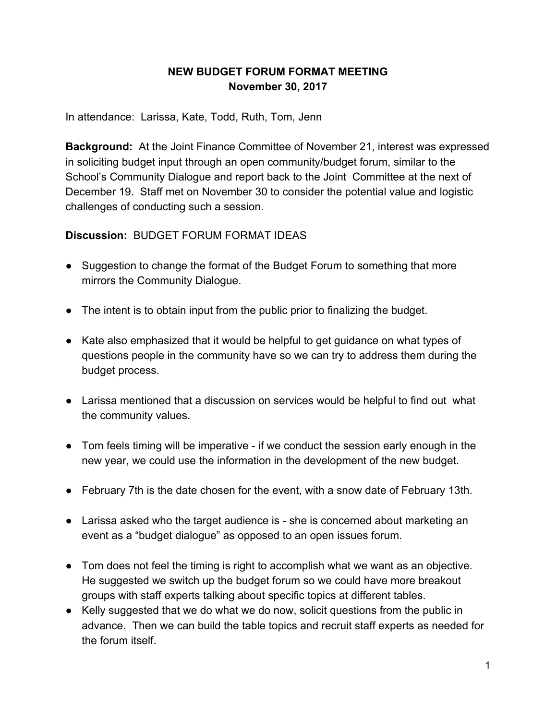### **NEW BUDGET FORUM FORMAT MEETING November 30, 2017**

In attendance: Larissa, Kate, Todd, Ruth, Tom, Jenn

**Background:** At the Joint Finance Committee of November 21, interest was expressed in soliciting budget input through an open community/budget forum, similar to the School's Community Dialogue and report back to the Joint Committee at the next of December 19. Staff met on November 30 to consider the potential value and logistic challenges of conducting such a session.

**Discussion:** BUDGET FORUM FORMAT IDEAS

- Suggestion to change the format of the Budget Forum to something that more mirrors the Community Dialogue.
- The intent is to obtain input from the public prior to finalizing the budget.
- Kate also emphasized that it would be helpful to get guidance on what types of questions people in the community have so we can try to address them during the budget process.
- Larissa mentioned that a discussion on services would be helpful to find out what the community values.
- Tom feels timing will be imperative if we conduct the session early enough in the new year, we could use the information in the development of the new budget.
- February 7th is the date chosen for the event, with a snow date of February 13th.
- Larissa asked who the target audience is she is concerned about marketing an event as a "budget dialogue" as opposed to an open issues forum.
- Tom does not feel the timing is right to accomplish what we want as an objective. He suggested we switch up the budget forum so we could have more breakout groups with staff experts talking about specific topics at different tables.
- Kelly suggested that we do what we do now, solicit questions from the public in advance. Then we can build the table topics and recruit staff experts as needed for the forum itself.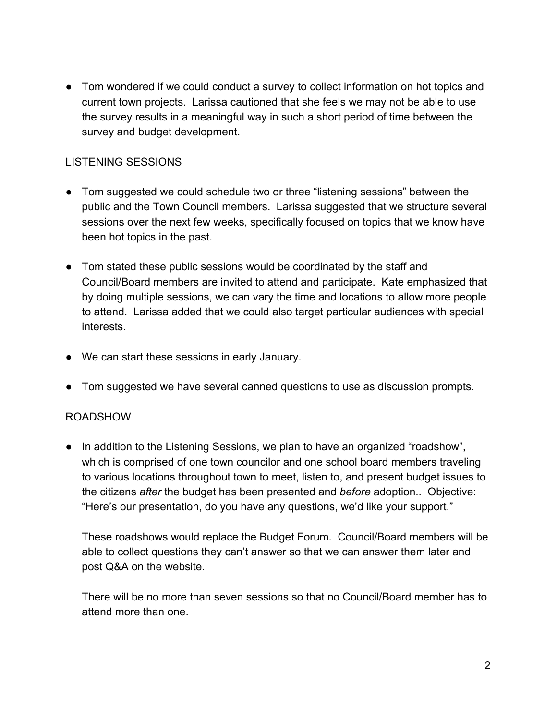• Tom wondered if we could conduct a survey to collect information on hot topics and current town projects. Larissa cautioned that she feels we may not be able to use the survey results in a meaningful way in such a short period of time between the survey and budget development.

#### LISTENING SESSIONS

- Tom suggested we could schedule two or three "listening sessions" between the public and the Town Council members. Larissa suggested that we structure several sessions over the next few weeks, specifically focused on topics that we know have been hot topics in the past.
- Tom stated these public sessions would be coordinated by the staff and Council/Board members are invited to attend and participate. Kate emphasized that by doing multiple sessions, we can vary the time and locations to allow more people to attend. Larissa added that we could also target particular audiences with special interests.
- We can start these sessions in early January.
- Tom suggested we have several canned questions to use as discussion prompts.

#### ROADSHOW

• In addition to the Listening Sessions, we plan to have an organized "roadshow", which is comprised of one town councilor and one school board members traveling to various locations throughout town to meet, listen to, and present budget issues to the citizens *after* the budget has been presented and *before* adoption.. Objective: "Here's our presentation, do you have any questions, we'd like your support."

These roadshows would replace the Budget Forum. Council/Board members will be able to collect questions they can't answer so that we can answer them later and post Q&A on the website.

There will be no more than seven sessions so that no Council/Board member has to attend more than one.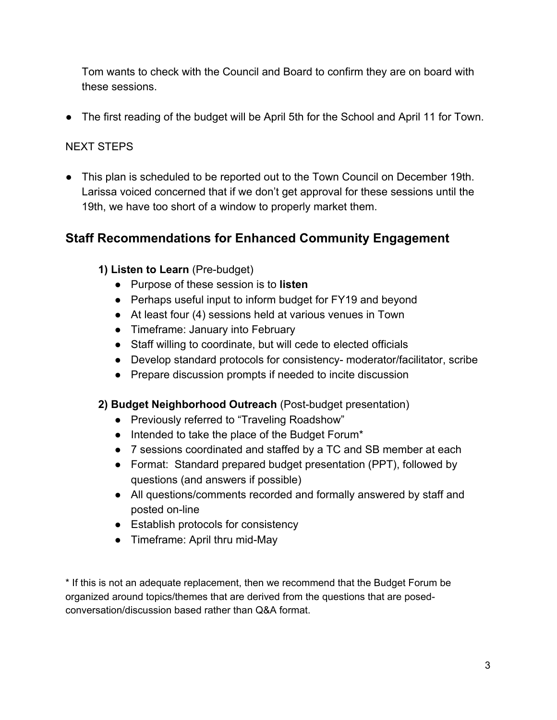Tom wants to check with the Council and Board to confirm they are on board with these sessions.

● The first reading of the budget will be April 5th for the School and April 11 for Town.

## NEXT STEPS

● This plan is scheduled to be reported out to the Town Council on December 19th. Larissa voiced concerned that if we don't get approval for these sessions until the 19th, we have too short of a window to properly market them.

## **Staff Recommendations for Enhanced Community Engagement**

## **1) Listen to Learn** (Pre-budget)

- Purpose of these session is to **listen**
- Perhaps useful input to inform budget for FY19 and beyond
- At least four (4) sessions held at various venues in Town
- Timeframe: January into February
- Staff willing to coordinate, but will cede to elected officials
- Develop standard protocols for consistency- moderator/facilitator, scribe
- Prepare discussion prompts if needed to incite discussion

#### **2) Budget Neighborhood Outreach** (Post-budget presentation)

- Previously referred to "Traveling Roadshow"
- Intended to take the place of the Budget Forum\*
- 7 sessions coordinated and staffed by a TC and SB member at each
- Format: Standard prepared budget presentation (PPT), followed by questions (and answers if possible)
- All questions/comments recorded and formally answered by staff and posted on-line
- Establish protocols for consistency
- Timeframe: April thru mid-May

\* If this is not an adequate replacement, then we recommend that the Budget Forum be organized around topics/themes that are derived from the questions that are posedconversation/discussion based rather than Q&A format.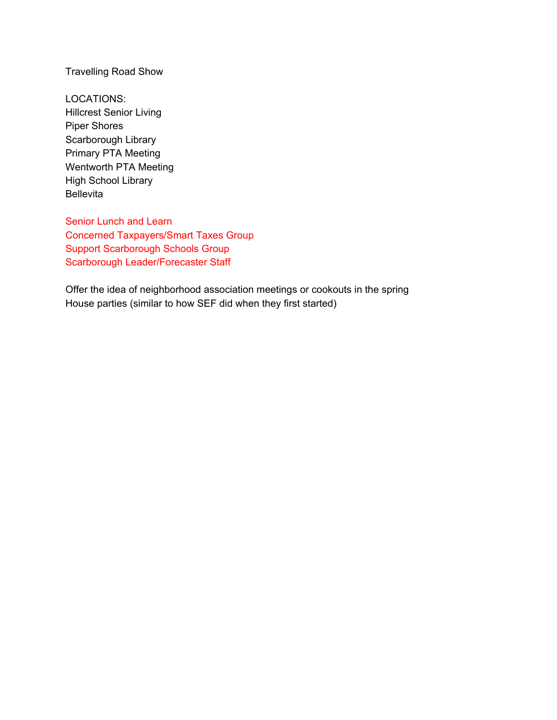Travelling Road Show

LOCATIONS: Hillcrest Senior Living Piper Shores Scarborough Library Primary PTA Meeting Wentworth PTA Meeting High School Library Bellevita

Senior Lunch and Learn Concerned Taxpayers/Smart Taxes Group Support Scarborough Schools Group Scarborough Leader/Forecaster Staff

Offer the idea of neighborhood association meetings or cookouts in the spring House parties (similar to how SEF did when they first started)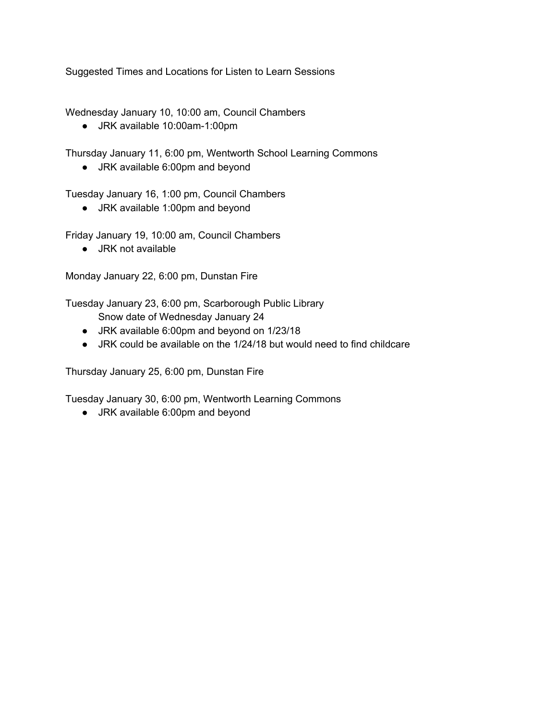Suggested Times and Locations for Listen to Learn Sessions

Wednesday January 10, 10:00 am, Council Chambers

● JRK available 10:00am-1:00pm

Thursday January 11, 6:00 pm, Wentworth School Learning Commons

● JRK available 6:00pm and beyond

Tuesday January 16, 1:00 pm, Council Chambers

● JRK available 1:00pm and beyond

Friday January 19, 10:00 am, Council Chambers

● JRK not available

Monday January 22, 6:00 pm, Dunstan Fire

Tuesday January 23, 6:00 pm, Scarborough Public Library

- Snow date of Wednesday January 24
- JRK available 6:00pm and beyond on 1/23/18
- JRK could be available on the 1/24/18 but would need to find childcare

Thursday January 25, 6:00 pm, Dunstan Fire

Tuesday January 30, 6:00 pm, Wentworth Learning Commons

● JRK available 6:00pm and beyond